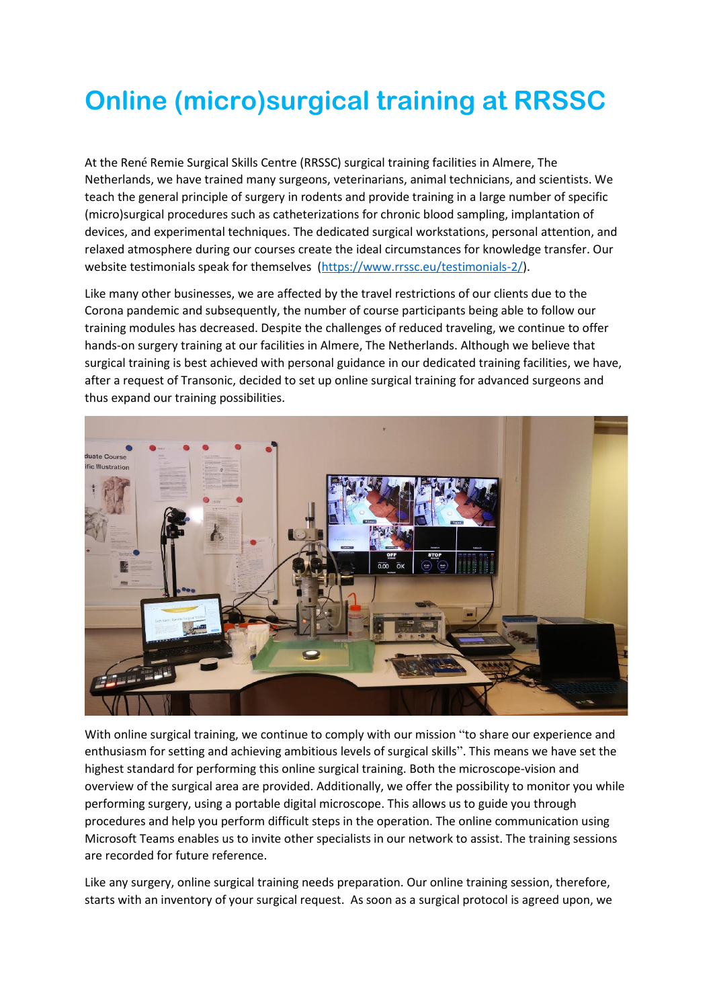## **Online (micro)surgical training at RRSSC**

At the René Remie Surgical Skills Centre (RRSSC) surgical training facilities in Almere, The Netherlands, we have trained many surgeons, veterinarians, animal technicians, and scientists. We teach the general principle of surgery in rodents and provide training in a large number of specific (micro)surgical procedures such as catheterizations for chronic blood sampling, implantation of devices, and experimental techniques. The dedicated surgical workstations, personal attention, and relaxed atmosphere during our courses create the ideal circumstances for knowledge transfer. Our website testimonials speak for themselves [\(https://www.rrssc.eu/testimonials-2/\)](https://www.rrssc.eu/testimonials-2/).

Like many other businesses, we are affected by the travel restrictions of our clients due to the Corona pandemic and subsequently, the number of course participants being able to follow our training modules has decreased. Despite the challenges of reduced traveling, we continue to offer hands-on surgery training at our facilities in Almere, The Netherlands. Although we believe that surgical training is best achieved with personal guidance in our dedicated training facilities, we have, after a request of Transonic, decided to set up online surgical training for advanced surgeons and thus expand our training possibilities.



With online surgical training, we continue to comply with our mission "to share our experience and enthusiasm for setting and achieving ambitious levels of surgical skills". This means we have set the highest standard for performing this online surgical training. Both the microscope-vision and overview of the surgical area are provided. Additionally, we offer the possibility to monitor you while performing surgery, using a portable digital microscope. This allows us to guide you through procedures and help you perform difficult steps in the operation. The online communication using Microsoft Teams enables us to invite other specialists in our network to assist. The training sessions are recorded for future reference.

Like any surgery, online surgical training needs preparation. Our online training session, therefore, starts with an inventory of your surgical request. As soon as a surgical protocol is agreed upon, we